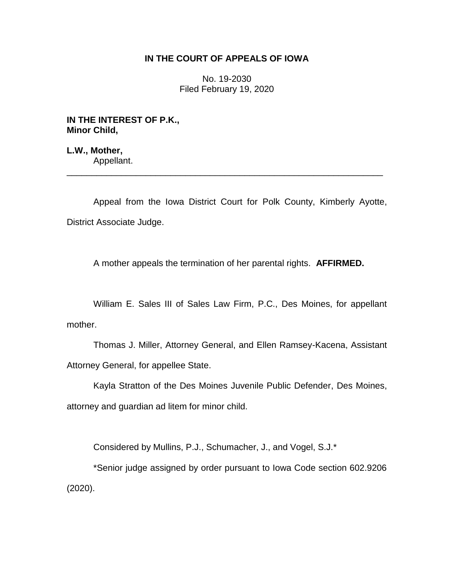## **IN THE COURT OF APPEALS OF IOWA**

No. 19-2030 Filed February 19, 2020

**IN THE INTEREST OF P.K., Minor Child,**

**L.W., Mother,** Appellant.

Appeal from the Iowa District Court for Polk County, Kimberly Ayotte, District Associate Judge.

\_\_\_\_\_\_\_\_\_\_\_\_\_\_\_\_\_\_\_\_\_\_\_\_\_\_\_\_\_\_\_\_\_\_\_\_\_\_\_\_\_\_\_\_\_\_\_\_\_\_\_\_\_\_\_\_\_\_\_\_\_\_\_\_

A mother appeals the termination of her parental rights. **AFFIRMED.**

William E. Sales III of Sales Law Firm, P.C., Des Moines, for appellant mother.

Thomas J. Miller, Attorney General, and Ellen Ramsey-Kacena, Assistant Attorney General, for appellee State.

Kayla Stratton of the Des Moines Juvenile Public Defender, Des Moines, attorney and guardian ad litem for minor child.

Considered by Mullins, P.J., Schumacher, J., and Vogel, S.J.\*

\*Senior judge assigned by order pursuant to Iowa Code section 602.9206 (2020).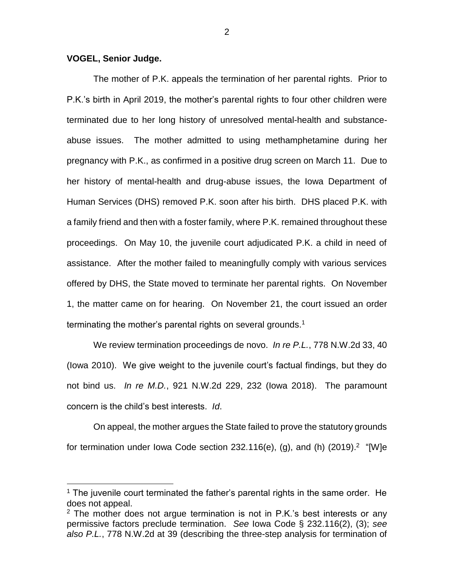## **VOGEL, Senior Judge.**

 $\overline{a}$ 

The mother of P.K. appeals the termination of her parental rights. Prior to P.K.'s birth in April 2019, the mother's parental rights to four other children were terminated due to her long history of unresolved mental-health and substanceabuse issues. The mother admitted to using methamphetamine during her pregnancy with P.K., as confirmed in a positive drug screen on March 11. Due to her history of mental-health and drug-abuse issues, the Iowa Department of Human Services (DHS) removed P.K. soon after his birth. DHS placed P.K. with a family friend and then with a foster family, where P.K. remained throughout these proceedings. On May 10, the juvenile court adjudicated P.K. a child in need of assistance. After the mother failed to meaningfully comply with various services offered by DHS, the State moved to terminate her parental rights. On November 1, the matter came on for hearing. On November 21, the court issued an order terminating the mother's parental rights on several grounds.<sup>1</sup>

We review termination proceedings de novo. *In re P.L.*, 778 N.W.2d 33, 40 (Iowa 2010). We give weight to the juvenile court's factual findings, but they do not bind us. *In re M.D.*, 921 N.W.2d 229, 232 (Iowa 2018). The paramount concern is the child's best interests. *Id*.

On appeal, the mother argues the State failed to prove the statutory grounds for termination under lowa Code section 232.116(e), (g), and (h)  $(2019).<sup>2</sup>$  "[W]e

 $1$  The juvenile court terminated the father's parental rights in the same order. He does not appeal.

 $2$  The mother does not argue termination is not in P.K.'s best interests or any permissive factors preclude termination. *See* Iowa Code § 232.116(2), (3); *see also P.L.*, 778 N.W.2d at 39 (describing the three-step analysis for termination of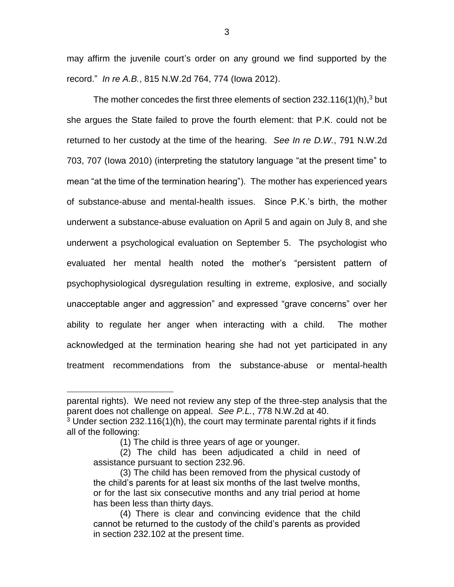may affirm the juvenile court's order on any ground we find supported by the record." *In re A.B.*, 815 N.W.2d 764, 774 (Iowa 2012).

The mother concedes the first three elements of section  $232.116(1)(h),$ <sup>3</sup> but she argues the State failed to prove the fourth element: that P.K. could not be returned to her custody at the time of the hearing. *See In re D.W.*, 791 N.W.2d 703, 707 (Iowa 2010) (interpreting the statutory language "at the present time" to mean "at the time of the termination hearing"). The mother has experienced years of substance-abuse and mental-health issues. Since P.K.'s birth, the mother underwent a substance-abuse evaluation on April 5 and again on July 8, and she underwent a psychological evaluation on September 5. The psychologist who evaluated her mental health noted the mother's "persistent pattern of psychophysiological dysregulation resulting in extreme, explosive, and socially unacceptable anger and aggression" and expressed "grave concerns" over her ability to regulate her anger when interacting with a child. The mother acknowledged at the termination hearing she had not yet participated in any treatment recommendations from the substance-abuse or mental-health

 $\overline{a}$ 

parental rights). We need not review any step of the three-step analysis that the parent does not challenge on appeal. *See P.L.*, 778 N.W.2d at 40.

 $3$  Under section 232.116(1)(h), the court may terminate parental rights if it finds all of the following:

<sup>(1)</sup> The child is three years of age or younger.

<sup>(2)</sup> The child has been adjudicated a child in need of assistance pursuant to section 232.96.

<sup>(3)</sup> The child has been removed from the physical custody of the child's parents for at least six months of the last twelve months, or for the last six consecutive months and any trial period at home has been less than thirty days.

<sup>(4)</sup> There is clear and convincing evidence that the child cannot be returned to the custody of the child's parents as provided in section 232.102 at the present time.